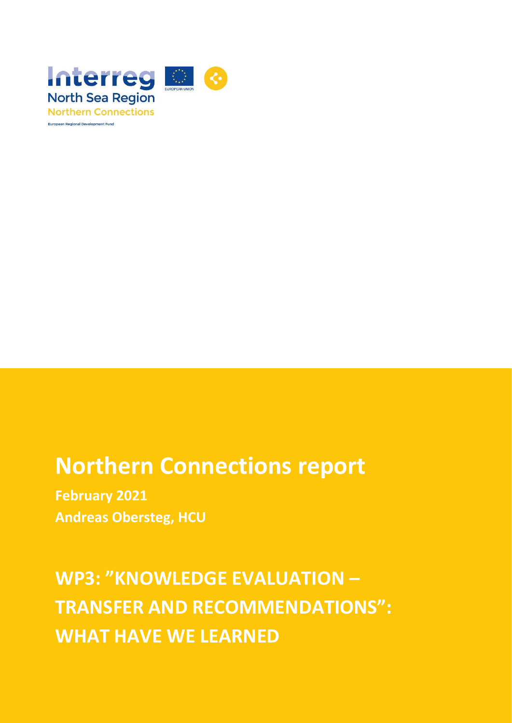

# **Northern Connections report**

**February 2021 Andreas Obersteg, HCU**

**WP3: "KNOWLEDGE EVALUATION – TRANSFER AND RECOMMENDATIONS": WHAT HAVE WE LEARNED**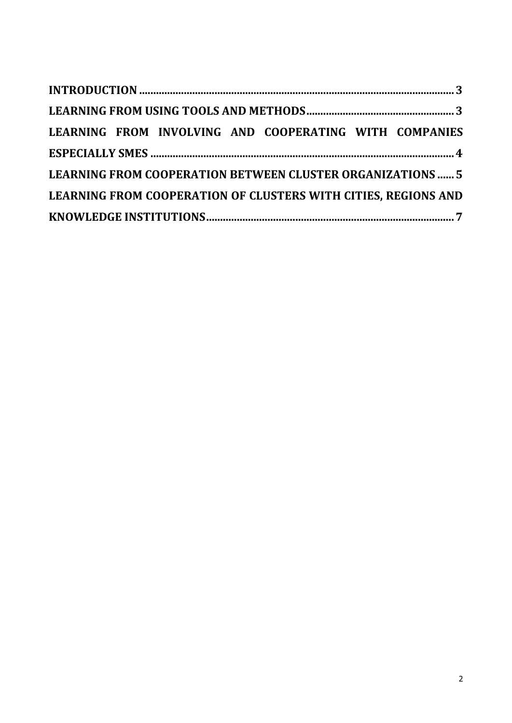|  |  |  |  | LEARNING FROM INVOLVING AND COOPERATING WITH COMPANIES            |  |  |
|--|--|--|--|-------------------------------------------------------------------|--|--|
|  |  |  |  |                                                                   |  |  |
|  |  |  |  | <b>LEARNING FROM COOPERATION BETWEEN CLUSTER ORGANIZATIONS  5</b> |  |  |
|  |  |  |  | LEARNING FROM COOPERATION OF CLUSTERS WITH CITIES, REGIONS AND    |  |  |
|  |  |  |  |                                                                   |  |  |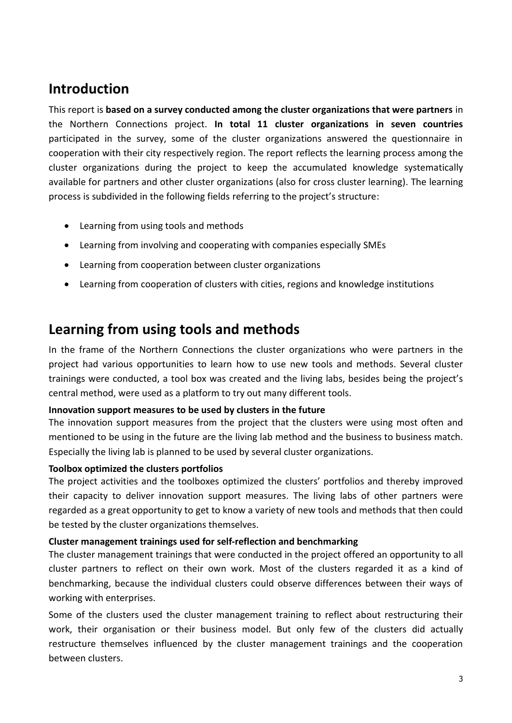## <span id="page-2-0"></span>**Introduction**

This report is **based on a survey conducted among the cluster organizations that were partners** in the Northern Connections project. **In total 11 cluster organizations in seven countries** participated in the survey, some of the cluster organizations answered the questionnaire in cooperation with their city respectively region. The report reflects the learning process among the cluster organizations during the project to keep the accumulated knowledge systematically available for partners and other cluster organizations (also for cross cluster learning). The learning process is subdivided in the following fields referring to the project's structure:

- Learning from using tools and methods
- Learning from involving and cooperating with companies especially SMEs
- Learning from cooperation between cluster organizations
- Learning from cooperation of clusters with cities, regions and knowledge institutions

### <span id="page-2-1"></span>**Learning from using tools and methods**

In the frame of the Northern Connections the cluster organizations who were partners in the project had various opportunities to learn how to use new tools and methods. Several cluster trainings were conducted, a tool box was created and the living labs, besides being the project's central method, were used as a platform to try out many different tools.

### **Innovation support measures to be used by clusters in the future**

The innovation support measures from the project that the clusters were using most often and mentioned to be using in the future are the living lab method and the business to business match. Especially the living lab is planned to be used by several cluster organizations.

### **Toolbox optimized the clusters portfolios**

The project activities and the toolboxes optimized the clusters' portfolios and thereby improved their capacity to deliver innovation support measures. The living labs of other partners were regarded as a great opportunity to get to know a variety of new tools and methods that then could be tested by the cluster organizations themselves.

### **Cluster management trainings used for self-reflection and benchmarking**

The cluster management trainings that were conducted in the project offered an opportunity to all cluster partners to reflect on their own work. Most of the clusters regarded it as a kind of benchmarking, because the individual clusters could observe differences between their ways of working with enterprises.

Some of the clusters used the cluster management training to reflect about restructuring their work, their organisation or their business model. But only few of the clusters did actually restructure themselves influenced by the cluster management trainings and the cooperation between clusters.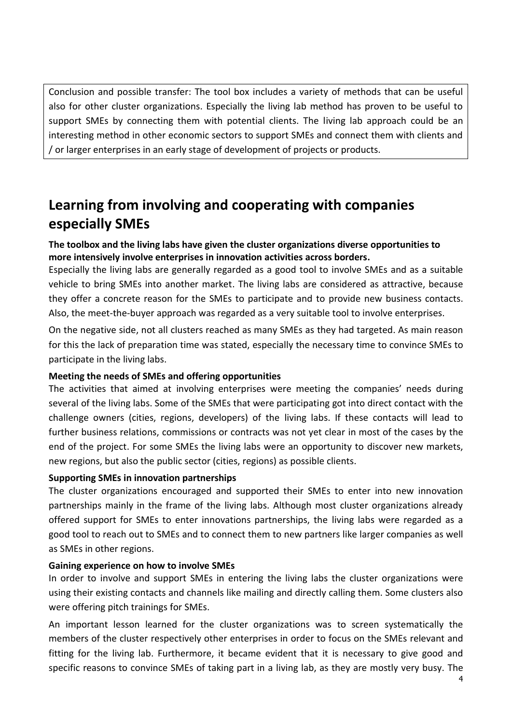Conclusion and possible transfer: The tool box includes a variety of methods that can be useful also for other cluster organizations. Especially the living lab method has proven to be useful to support SMEs by connecting them with potential clients. The living lab approach could be an interesting method in other economic sectors to support SMEs and connect them with clients and / or larger enterprises in an early stage of development of projects or products.

# <span id="page-3-0"></span>**Learning from involving and cooperating with companies especially SMEs**

### **The toolbox and the living labs have given the cluster organizations diverse opportunities to more intensively involve enterprises in innovation activities across borders.**

Especially the living labs are generally regarded as a good tool to involve SMEs and as a suitable vehicle to bring SMEs into another market. The living labs are considered as attractive, because they offer a concrete reason for the SMEs to participate and to provide new business contacts. Also, the meet-the-buyer approach was regarded as a very suitable tool to involve enterprises.

On the negative side, not all clusters reached as many SMEs as they had targeted. As main reason for this the lack of preparation time was stated, especially the necessary time to convince SMEs to participate in the living labs.

### **Meeting the needs of SMEs and offering opportunities**

The activities that aimed at involving enterprises were meeting the companies' needs during several of the living labs. Some of the SMEs that were participating got into direct contact with the challenge owners (cities, regions, developers) of the living labs. If these contacts will lead to further business relations, commissions or contracts was not yet clear in most of the cases by the end of the project. For some SMEs the living labs were an opportunity to discover new markets, new regions, but also the public sector (cities, regions) as possible clients.

### **Supporting SMEs in innovation partnerships**

The cluster organizations encouraged and supported their SMEs to enter into new innovation partnerships mainly in the frame of the living labs. Although most cluster organizations already offered support for SMEs to enter innovations partnerships, the living labs were regarded as a good tool to reach out to SMEs and to connect them to new partners like larger companies as well as SMEs in other regions.

### **Gaining experience on how to involve SMEs**

In order to involve and support SMEs in entering the living labs the cluster organizations were using their existing contacts and channels like mailing and directly calling them. Some clusters also were offering pitch trainings for SMEs.

An important lesson learned for the cluster organizations was to screen systematically the members of the cluster respectively other enterprises in order to focus on the SMEs relevant and fitting for the living lab. Furthermore, it became evident that it is necessary to give good and specific reasons to convince SMEs of taking part in a living lab, as they are mostly very busy. The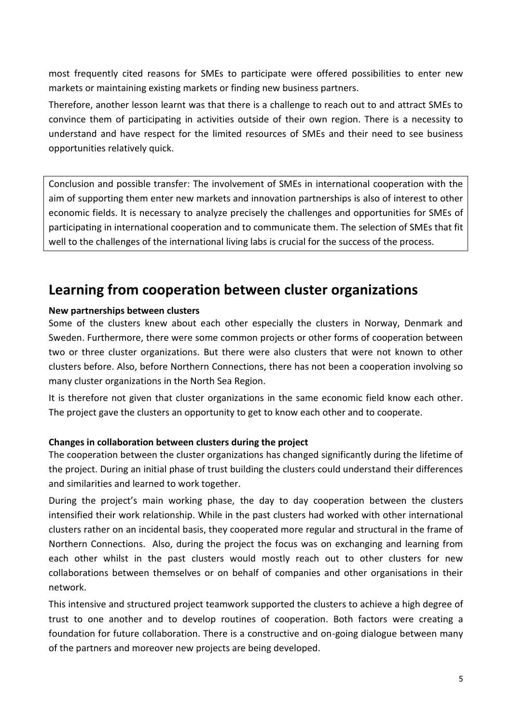most frequently cited reasons for SMEs to participate were offered possibilities to enter new markets or maintaining existing markets or finding new business partners.

Therefore, another lesson learnt was that there is a challenge to reach out to and attract SMEs to convince them of participating in activities outside of their own region. There is a necessity to understand and have respect for the limited resources of SMEs and their need to see business opportunities relatively quick.

Conclusion and possible transfer: The involvement of SMEs in international cooperation with the aim of supporting them enter new markets and innovation partnerships is also of interest to other economic fields. It is necessary to analyze precisely the challenges and opportunities for SMEs of participating in international cooperation and to communicate them. The selection of SMEs that fit well to the challenges of the international living labs is crucial for the success of the process.

### <span id="page-4-0"></span>**Learning from cooperation between cluster organizations**

### **New partnerships between clusters**

Some of the clusters knew about each other especially the clusters in Norway, Denmark and Sweden. Furthermore, there were some common projects or other forms of cooperation between two or three cluster organizations. But there were also clusters that were not known to other clusters before. Also, before Northern Connections, there has not been a cooperation involving so many cluster organizations in the North Sea Region.

It is therefore not given that cluster organizations in the same economic field know each other. The project gave the clusters an opportunity to get to know each other and to cooperate.

### **Changes in collaboration between clusters during the project**

The cooperation between the cluster organizations has changed significantly during the lifetime of the project. During an initial phase of trust building the clusters could understand their differences and similarities and learned to work together.

During the project's main working phase, the day to day cooperation between the clusters intensified their work relationship. While in the past clusters had worked with other international clusters rather on an incidental basis, they cooperated more regular and structural in the frame of Northern Connections. Also, during the project the focus was on exchanging and learning from each other whilst in the past clusters would mostly reach out to other clusters for new collaborations between themselves or on behalf of companies and other organisations in their network.

This intensive and structured project teamwork supported the clusters to achieve a high degree of trust to one another and to develop routines of cooperation. Both factors were creating a foundation for future collaboration. There is a constructive and on-going dialogue between many of the partners and moreover new projects are being developed.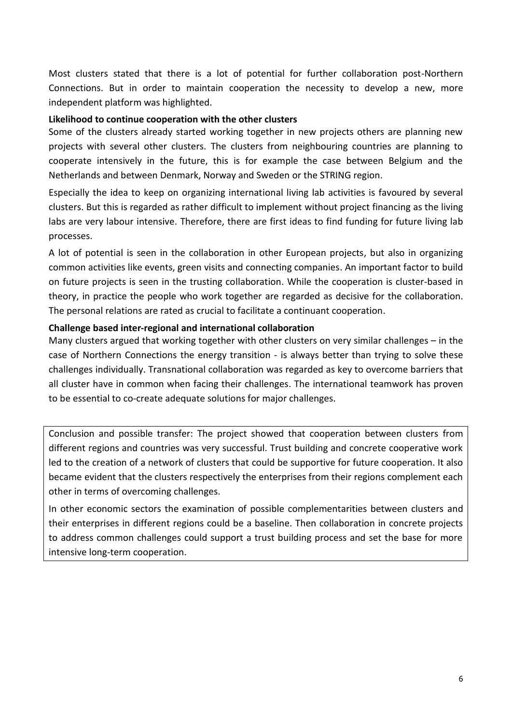Most clusters stated that there is a lot of potential for further collaboration post-Northern Connections. But in order to maintain cooperation the necessity to develop a new, more independent platform was highlighted.

### **Likelihood to continue cooperation with the other clusters**

Some of the clusters already started working together in new projects others are planning new projects with several other clusters. The clusters from neighbouring countries are planning to cooperate intensively in the future, this is for example the case between Belgium and the Netherlands and between Denmark, Norway and Sweden or the STRING region.

Especially the idea to keep on organizing international living lab activities is favoured by several clusters. But this is regarded as rather difficult to implement without project financing as the living labs are very labour intensive. Therefore, there are first ideas to find funding for future living lab processes.

A lot of potential is seen in the collaboration in other European projects, but also in organizing common activities like events, green visits and connecting companies. An important factor to build on future projects is seen in the trusting collaboration. While the cooperation is cluster-based in theory, in practice the people who work together are regarded as decisive for the collaboration. The personal relations are rated as crucial to facilitate a continuant cooperation.

### **Challenge based inter-regional and international collaboration**

Many clusters argued that working together with other clusters on very similar challenges – in the case of Northern Connections the energy transition - is always better than trying to solve these challenges individually. Transnational collaboration was regarded as key to overcome barriers that all cluster have in common when facing their challenges. The international teamwork has proven to be essential to co-create adequate solutions for major challenges.

Conclusion and possible transfer: The project showed that cooperation between clusters from different regions and countries was very successful. Trust building and concrete cooperative work led to the creation of a network of clusters that could be supportive for future cooperation. It also became evident that the clusters respectively the enterprises from their regions complement each other in terms of overcoming challenges.

In other economic sectors the examination of possible complementarities between clusters and their enterprises in different regions could be a baseline. Then collaboration in concrete projects to address common challenges could support a trust building process and set the base for more intensive long-term cooperation.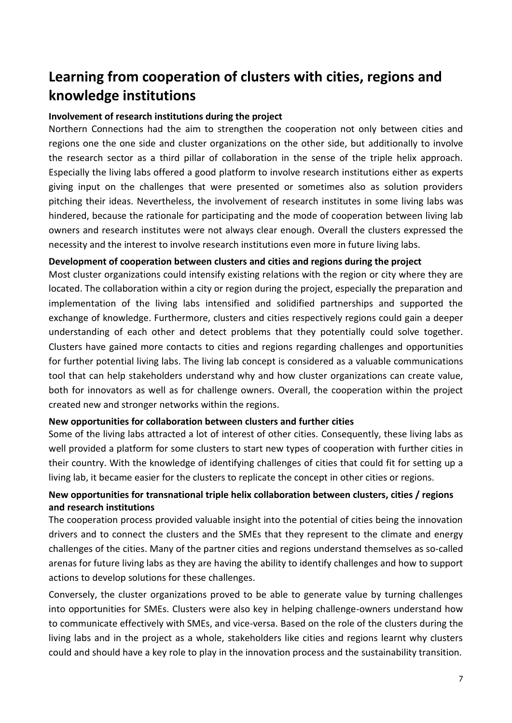# <span id="page-6-0"></span>**Learning from cooperation of clusters with cities, regions and knowledge institutions**

#### **Involvement of research institutions during the project**

Northern Connections had the aim to strengthen the cooperation not only between cities and regions one the one side and cluster organizations on the other side, but additionally to involve the research sector as a third pillar of collaboration in the sense of the triple helix approach. Especially the living labs offered a good platform to involve research institutions either as experts giving input on the challenges that were presented or sometimes also as solution providers pitching their ideas. Nevertheless, the involvement of research institutes in some living labs was hindered, because the rationale for participating and the mode of cooperation between living lab owners and research institutes were not always clear enough. Overall the clusters expressed the necessity and the interest to involve research institutions even more in future living labs.

### **Development of cooperation between clusters and cities and regions during the project**

Most cluster organizations could intensify existing relations with the region or city where they are located. The collaboration within a city or region during the project, especially the preparation and implementation of the living labs intensified and solidified partnerships and supported the exchange of knowledge. Furthermore, clusters and cities respectively regions could gain a deeper understanding of each other and detect problems that they potentially could solve together. Clusters have gained more contacts to cities and regions regarding challenges and opportunities for further potential living labs. The living lab concept is considered as a valuable communications tool that can help stakeholders understand why and how cluster organizations can create value, both for innovators as well as for challenge owners. Overall, the cooperation within the project created new and stronger networks within the regions.

#### **New opportunities for collaboration between clusters and further cities**

Some of the living labs attracted a lot of interest of other cities. Consequently, these living labs as well provided a platform for some clusters to start new types of cooperation with further cities in their country. With the knowledge of identifying challenges of cities that could fit for setting up a living lab, it became easier for the clusters to replicate the concept in other cities or regions.

### **New opportunities for transnational triple helix collaboration between clusters, cities / regions and research institutions**

The cooperation process provided valuable insight into the potential of cities being the innovation drivers and to connect the clusters and the SMEs that they represent to the climate and energy challenges of the cities. Many of the partner cities and regions understand themselves as so-called arenas for future living labs as they are having the ability to identify challenges and how to support actions to develop solutions for these challenges.

Conversely, the cluster organizations proved to be able to generate value by turning challenges into opportunities for SMEs. Clusters were also key in helping challenge-owners understand how to communicate effectively with SMEs, and vice-versa. Based on the role of the clusters during the living labs and in the project as a whole, stakeholders like cities and regions learnt why clusters could and should have a key role to play in the innovation process and the sustainability transition.